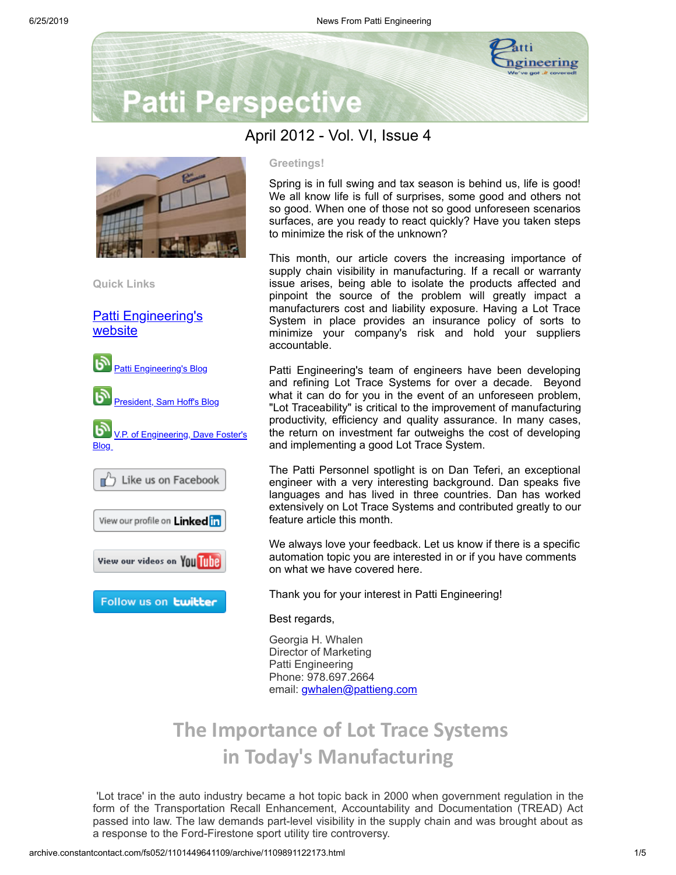

# **Patti Perspective**

# April 2012 - Vol. VI, Issue 4



**Quick Links**

**[Patti Engineering's](http://www.pattieng.com/?utm_source=Patti+Perspective+4_2012_Final&utm_campaign=April+Newsletter&utm_medium=archive)** website



# **Greetings!**

Spring is in full swing and tax season is behind us, life is good! We all know life is full of surprises, some good and others not so good. When one of those not so good unforeseen scenarios surfaces, are you ready to react quickly? Have you taken steps to minimize the risk of the unknown?

This month, our article covers the increasing importance of supply chain visibility in manufacturing. If a recall or warranty issue arises, being able to isolate the products affected and pinpoint the source of the problem will greatly impact a manufacturers cost and liability exposure. Having a Lot Trace System in place provides an insurance policy of sorts to minimize your company's risk and hold your suppliers accountable.

Patti Engineering's team of engineers have been developing and refining Lot Trace Systems for over a decade. Beyond what it can do for you in the event of an unforeseen problem, "Lot Traceability" is critical to the improvement of manufacturing productivity, efficiency and quality assurance. In many cases, the return on investment far outweighs the cost of developing and implementing a good Lot Trace System.

The Patti Personnel spotlight is on Dan Teferi, an exceptional engineer with a very interesting background. Dan speaks five languages and has lived in three countries. Dan has worked extensively on Lot Trace Systems and contributed greatly to our feature article this month.

We always love your feedback. Let us know if there is a specific automation topic you are interested in or if you have comments on what we have covered here.

Thank you for your interest in Patti Engineering!

### Best regards,

Georgia H. Whalen Director of Marketing Patti Engineering Phone: 978.697.2664 email: [gwhalen@pattieng.com](mailto:gwhalen@pattieng.com)

# **The Importance of Lot Trace Systems in Today's Manufacturing**

'Lot trace' in the auto industry became a hot topic back in 2000 when government regulation in the form of the Transportation Recall Enhancement, Accountability and Documentation (TREAD) Act passed into law. The law demands part-level visibility in the supply chain and was brought about as a response to the Ford-Firestone sport utility tire controversy.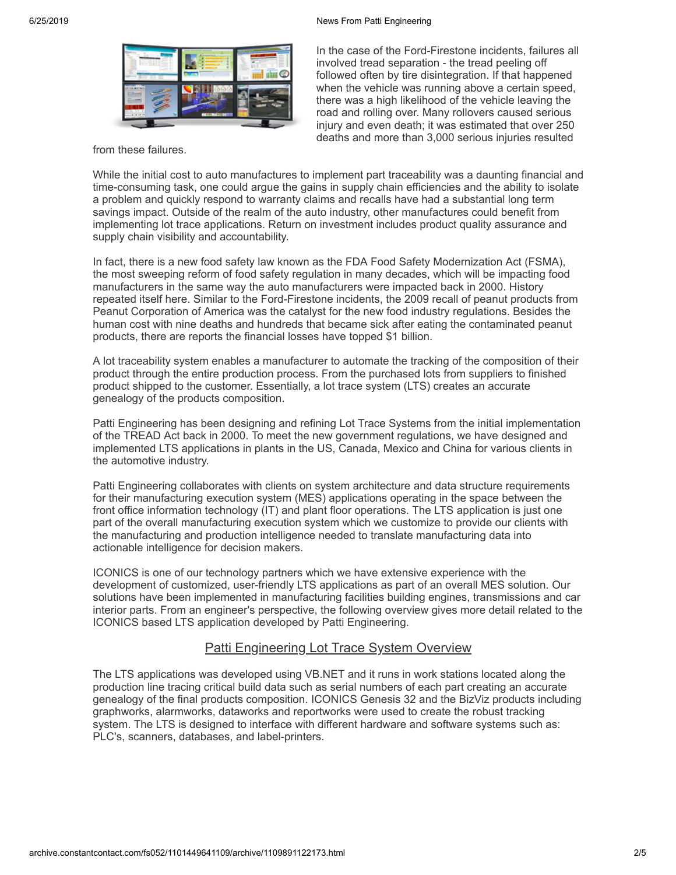#### 6/25/2019 News From Patti Engineering



In the case of the Ford-Firestone incidents, failures all involved tread separation - the tread peeling off followed often by tire disintegration. If that happened when the vehicle was running above a certain speed, there was a high likelihood of the vehicle leaving the road and rolling over. Many rollovers caused serious injury and even death; it was estimated that over 250 deaths and more than 3,000 serious injuries resulted

from these failures.

While the initial cost to auto manufactures to implement part traceability was a daunting financial and time-consuming task, one could argue the gains in supply chain efficiencies and the ability to isolate a problem and quickly respond to warranty claims and recalls have had a substantial long term savings impact. Outside of the realm of the auto industry, other manufactures could benefit from implementing lot trace applications. Return on investment includes product quality assurance and supply chain visibility and accountability.

In fact, there is a new food safety law known as the FDA Food Safety Modernization Act (FSMA), the most sweeping reform of food safety regulation in many decades, which will be impacting food manufacturers in the same way the auto manufacturers were impacted back in 2000. History repeated itself here. Similar to the Ford-Firestone incidents, the 2009 recall of peanut products from Peanut Corporation of America was the catalyst for the new food industry regulations. Besides the human cost with nine deaths and hundreds that became sick after eating the contaminated peanut products, there are reports the financial losses have topped \$1 billion.

A lot traceability system enables a manufacturer to automate the tracking of the composition of their product through the entire production process. From the purchased lots from suppliers to finished product shipped to the customer. Essentially, a lot trace system (LTS) creates an accurate genealogy of the products composition.

Patti Engineering has been designing and refining Lot Trace Systems from the initial implementation of the TREAD Act back in 2000. To meet the new government regulations, we have designed and implemented LTS applications in plants in the US, Canada, Mexico and China for various clients in the automotive industry.

Patti Engineering collaborates with clients on system architecture and data structure requirements for their manufacturing execution system (MES) applications operating in the space between the front office information technology (IT) and plant floor operations. The LTS application is just one part of the overall manufacturing execution system which we customize to provide our clients with the manufacturing and production intelligence needed to translate manufacturing data into actionable intelligence for decision makers.

ICONICS is one of our technology partners which we have extensive experience with the development of customized, user-friendly LTS applications as part of an overall MES solution. Our solutions have been implemented in manufacturing facilities building engines, transmissions and car interior parts. From an engineer's perspective, the following overview gives more detail related to the ICONICS based LTS application developed by Patti Engineering.

# **Patti Engineering Lot Trace System Overview**

The LTS applications was developed using VB.NET and it runs in work stations located along the production line tracing critical build data such as serial numbers of each part creating an accurate genealogy of the final products composition. ICONICS Genesis 32 and the BizViz products including graphworks, alarmworks, dataworks and reportworks were used to create the robust tracking system. The LTS is designed to interface with different hardware and software systems such as: PLC's, scanners, databases, and label-printers.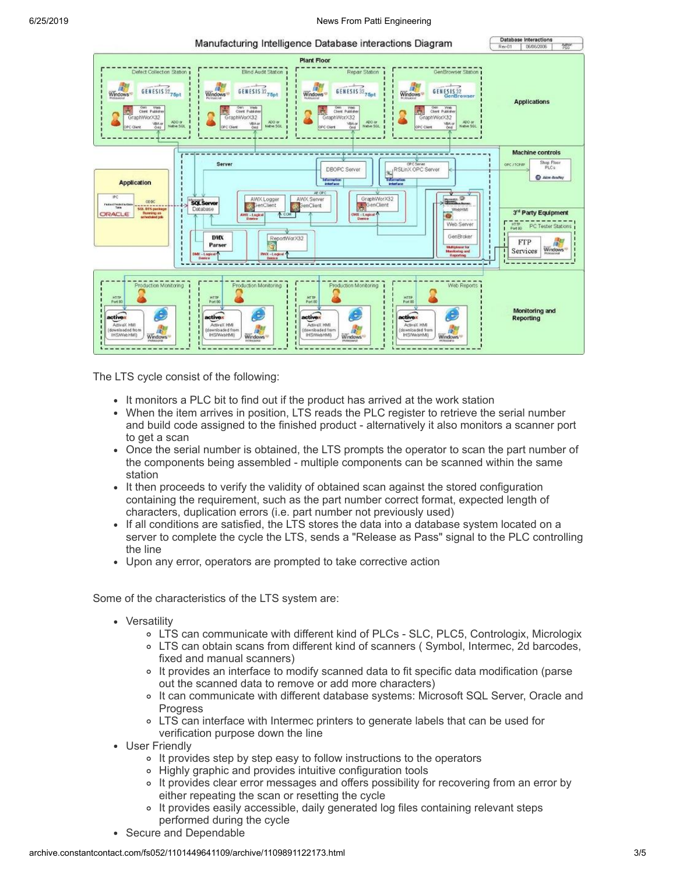

The LTS cycle consist of the following:

- It monitors a PLC bit to find out if the product has arrived at the work station
- When the item arrives in position, LTS reads the PLC register to retrieve the serial number and build code assigned to the finished product - alternatively it also monitors a scanner port to get a scan
- Once the serial number is obtained, the LTS prompts the operator to scan the part number of the components being assembled - multiple components can be scanned within the same station
- It then proceeds to verify the validity of obtained scan against the stored configuration containing the requirement, such as the part number correct format, expected length of characters, duplication errors (i.e. part number not previously used)
- If all conditions are satisfied, the LTS stores the data into a database system located on a server to complete the cycle the LTS, sends a "Release as Pass" signal to the PLC controlling the line
- Upon any error, operators are prompted to take corrective action

Some of the characteristics of the LTS system are:

- Versatility
	- LTS can communicate with different kind of PLCs SLC, PLC5, Contrologix, Micrologix
	- LTS can obtain scans from different kind of scanners ( Symbol, Intermec, 2d barcodes, fixed and manual scanners)
	- It provides an interface to modify scanned data to fit specific data modification (parse out the scanned data to remove or add more characters)
	- o It can communicate with different database systems: Microsoft SQL Server, Oracle and **Progress**
	- LTS can interface with Intermec printers to generate labels that can be used for verification purpose down the line
- User Friendly
	- o It provides step by step easy to follow instructions to the operators
	- Highly graphic and provides intuitive configuration tools
	- It provides clear error messages and offers possibility for recovering from an error by either repeating the scan or resetting the cycle
	- It provides easily accessible, daily generated log files containing relevant steps performed during the cycle
- Secure and Dependable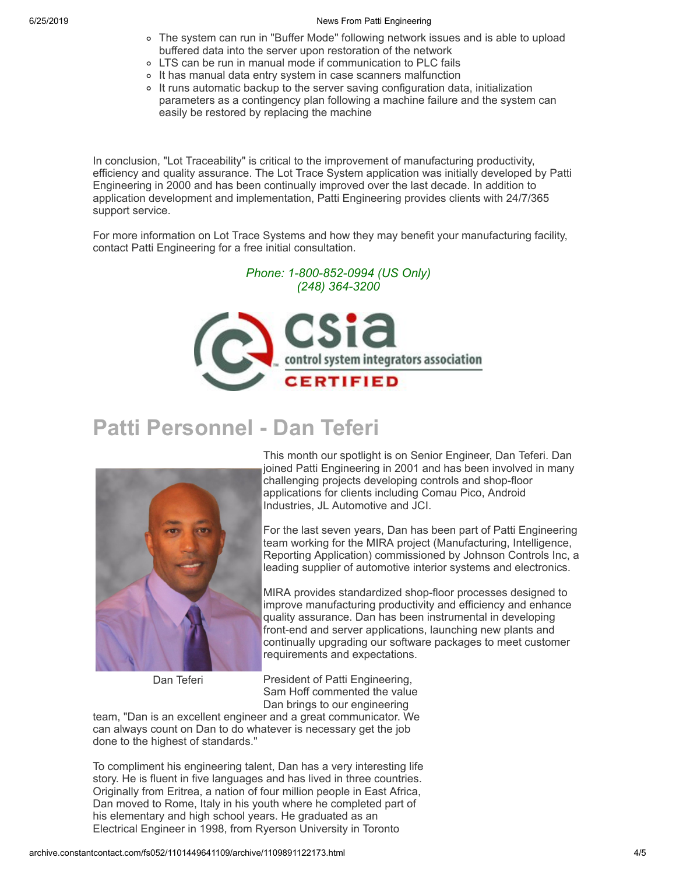### 6/25/2019 News From Patti Engineering

- The system can run in "Buffer Mode" following network issues and is able to upload buffered data into the server upon restoration of the network
- LTS can be run in manual mode if communication to PLC fails
- o It has manual data entry system in case scanners malfunction
- It runs automatic backup to the server saving configuration data, initialization parameters as a contingency plan following a machine failure and the system can easily be restored by replacing the machine

In conclusion, "Lot Traceability" is critical to the improvement of manufacturing productivity, efficiency and quality assurance. The Lot Trace System application was initially developed by Patti Engineering in 2000 and has been continually improved over the last decade. In addition to application development and implementation, Patti Engineering provides clients with 24/7/365 support service.

For more information on Lot Trace Systems and how they may benefit your manufacturing facility, contact Patti Engineering for a free initial consultation.

*Phone: 1-800-852-0994 (US Only)*



# **Patti Personnel - Dan Teferi**



Dan Teferi

This month our spotlight is on Senior Engineer, Dan Teferi. Dan joined Patti Engineering in 2001 and has been involved in many challenging projects developing controls and shop-floor applications for clients including Comau Pico, Android Industries, JL Automotive and JCI.

For the last seven years, Dan has been part of Patti Engineering team working for the MIRA project (Manufacturing, Intelligence, Reporting Application) commissioned by Johnson Controls Inc, a leading supplier of automotive interior systems and electronics.

MIRA provides standardized shop-floor processes designed to improve manufacturing productivity and efficiency and enhance quality assurance. Dan has been instrumental in developing front-end and server applications, launching new plants and continually upgrading our software packages to meet customer requirements and expectations.

President of Patti Engineering, Sam Hoff commented the value Dan brings to our engineering

team, "Dan is an excellent engineer and a great communicator. We can always count on Dan to do whatever is necessary get the job done to the highest of standards."

To compliment his engineering talent, Dan has a very interesting life story. He is fluent in five languages and has lived in three countries. Originally from Eritrea, a nation of four million people in East Africa, Dan moved to Rome, Italy in his youth where he completed part of his elementary and high school years. He graduated as an Electrical Engineer in 1998, from Ryerson University in Toronto